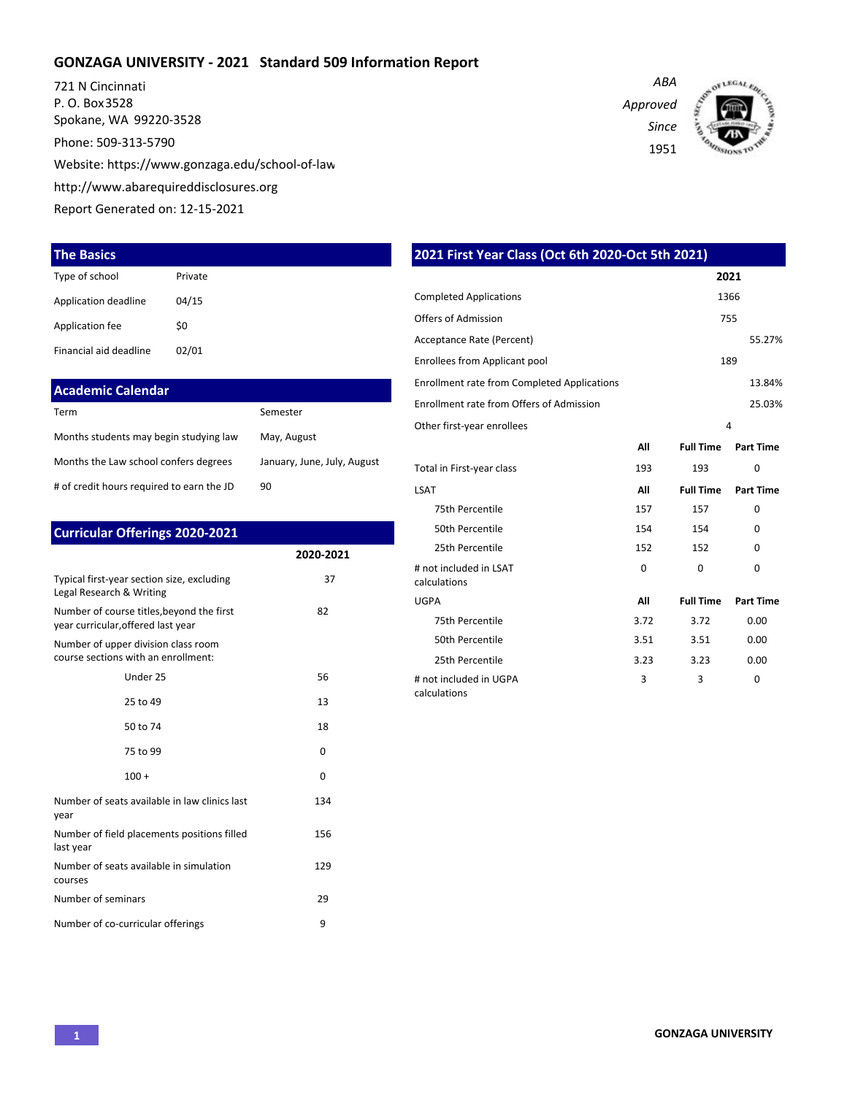### **GONZAGA UNIVERSITY - 2021 Standard 509 Information Report**

721 N Cincinnati P. O. Box 3528 Spokane, WA 99220-3528 Phone: 509-313-5790 Website: https://www.gonzaga.edu/school-of-law http://www.abarequireddisclosures.org Report Generated on: 12-15-2021

#### **The Basics**

| Type of school         | Private |
|------------------------|---------|
| Application deadline   | 04/15   |
| Application fee        | \$0     |
| Financial aid deadline | 02/01   |

#### **Academic Calendar**

| Term                                      | Semester                    |
|-------------------------------------------|-----------------------------|
| Months students may begin studying law    | May, August                 |
| Months the Law school confers degrees     | January, June, July, August |
| # of credit hours required to earn the JD | 90                          |

| <b>Curricular Offerings 2020-2021</b>                                           |              |  |  |  |
|---------------------------------------------------------------------------------|--------------|--|--|--|
|                                                                                 | 2020-2021    |  |  |  |
| Typical first-year section size, excluding<br>Legal Research & Writing          | 37           |  |  |  |
| Number of course titles, beyond the first<br>year curricular, offered last year | 82           |  |  |  |
| Number of upper division class room<br>course sections with an enrollment:      |              |  |  |  |
| Under 25                                                                        | 56           |  |  |  |
| 25 to 49                                                                        | 13           |  |  |  |
| 50 to 74                                                                        | 18           |  |  |  |
| 75 to 99                                                                        | <sup>0</sup> |  |  |  |
| $100 +$                                                                         | $\Omega$     |  |  |  |
| Number of seats available in law clinics last<br>year                           | 134          |  |  |  |
| Number of field placements positions filled<br>last year                        | 156          |  |  |  |
| Number of seats available in simulation<br>courses                              | 129          |  |  |  |
| Number of seminars                                                              | 29           |  |  |  |
| Number of co-curricular offerings                                               | 9            |  |  |  |

|                                                    |      |                  | 2021             |
|----------------------------------------------------|------|------------------|------------------|
| <b>Completed Applications</b>                      |      |                  | 1366             |
| Offers of Admission                                |      |                  | 755              |
| Acceptance Rate (Percent)                          |      |                  | 55.27%           |
| Enrollees from Applicant pool                      |      |                  | 189              |
| <b>Enrollment rate from Completed Applications</b> |      |                  | 13.84%           |
| Enrollment rate from Offers of Admission           |      |                  | 25.03%           |
| Other first-year enrollees                         |      |                  | $\overline{4}$   |
|                                                    | All  | <b>Full Time</b> | <b>Part Time</b> |
| Total in First-year class                          | 193  | 193              | 0                |
| LSAT                                               | All  | <b>Full Time</b> | <b>Part Time</b> |
| 75th Percentile                                    | 157  | 157              | $\Omega$         |
| 50th Percentile                                    | 154  | 154              | $\Omega$         |
| 25th Percentile                                    | 152  | 152              | $\Omega$         |
| # not included in LSAT<br>calculations             | 0    | 0                | 0                |
| UGPA                                               | All  | <b>Full Time</b> | <b>Part Time</b> |
| 75th Percentile                                    | 3.72 | 3.72             | 0.00             |
| 50th Percentile                                    | 3.51 | 3.51             | 0.00             |
| 25th Percentile                                    | 3.23 | 3.23             | 0.00             |
| # not included in UGPA                             | 3    | 3                | 0                |

calculations

**2021 First Year Class (Oct 6th 2020-Oct 5th 2021)**

*Approved Since*

1951

*ABA*

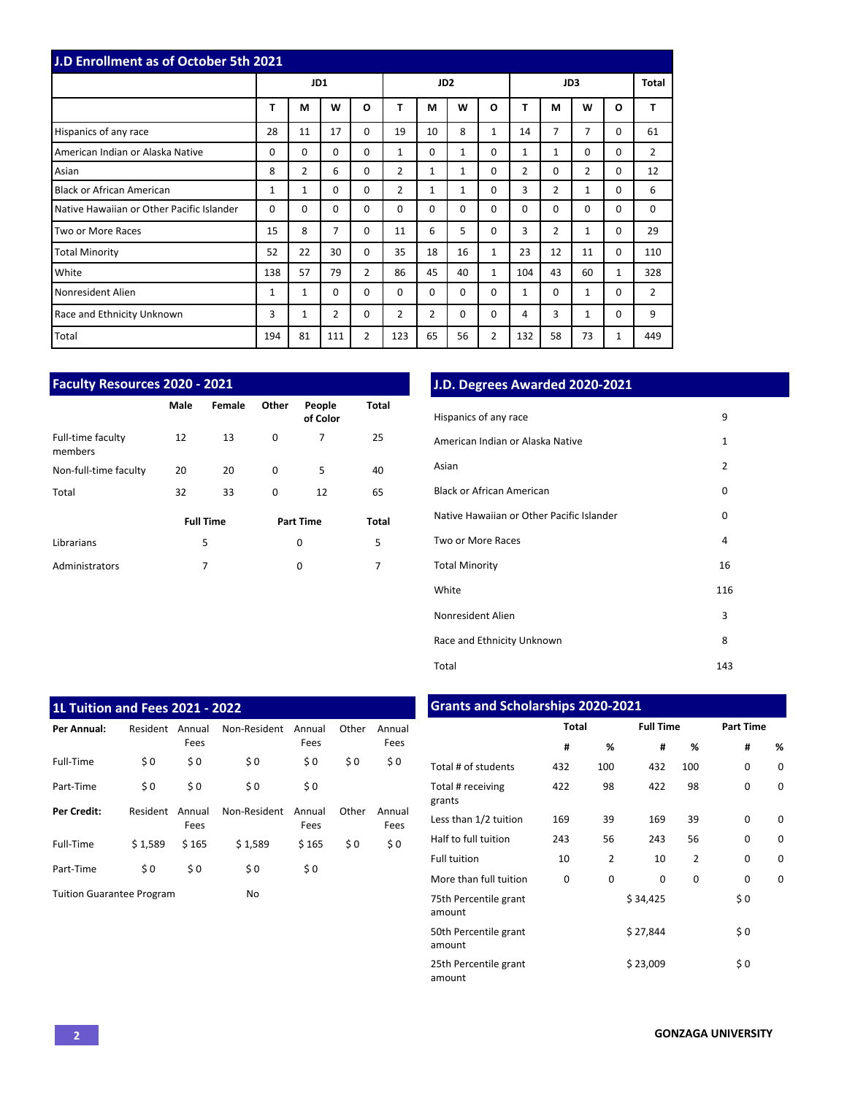| J.D Enrollment as of October 5th 2021     |          |                |                |                 |                |                |              |                |                |                |              |              |                |
|-------------------------------------------|----------|----------------|----------------|-----------------|----------------|----------------|--------------|----------------|----------------|----------------|--------------|--------------|----------------|
|                                           | JD1      |                |                | JD <sub>2</sub> |                |                |              |                |                | JD3            |              | Total        |                |
|                                           | T        | M              | W              | $\Omega$        | T              | M              | W            | O              | т              | М              | W            | O            | T              |
| Hispanics of any race                     | 28       | 11             | 17             | $\Omega$        | 19             | 10             | 8            | $\mathbf{1}$   | 14             | 7              | 7            | $\Omega$     | 61             |
| American Indian or Alaska Native          | $\Omega$ | $\Omega$       | $\Omega$       | $\Omega$        | $\mathbf{1}$   | $\Omega$       | $\mathbf{1}$ | 0              | $\mathbf{1}$   | $\mathbf{1}$   | $\Omega$     | $\Omega$     | $\overline{2}$ |
| Asian                                     | 8        | $\overline{2}$ | 6              | $\Omega$        | 2              | $\mathbf{1}$   | $\mathbf{1}$ | 0              | $\overline{2}$ | 0              | 2            | 0            | 12             |
| <b>Black or African American</b>          | 1        | $\mathbf{1}$   | 0              | $\Omega$        | $\overline{2}$ | $\mathbf{1}$   | $\mathbf{1}$ | 0              | 3              | $\overline{2}$ | $\mathbf{1}$ | 0            | 6              |
| Native Hawaiian or Other Pacific Islander | $\Omega$ | 0              | $\Omega$       | $\Omega$        | $\Omega$       | $\Omega$       | $\Omega$     | 0              | $\Omega$       | $\Omega$       | $\mathbf 0$  | 0            | 0              |
| Two or More Races                         | 15       | 8              | $\overline{7}$ | $\Omega$        | 11             | 6              | 5            | 0              | 3              | 2              | 1            | 0            | 29             |
| <b>Total Minority</b>                     | 52       | 22             | 30             | $\Omega$        | 35             | 18             | 16           | $\mathbf{1}$   | 23             | 12             | 11           | $\Omega$     | 110            |
| White                                     | 138      | 57             | 79             | $\overline{2}$  | 86             | 45             | 40           | $\mathbf{1}$   | 104            | 43             | 60           | $\mathbf{1}$ | 328            |
| Nonresident Alien                         | 1        | 1              | $\Omega$       | $\Omega$        | $\Omega$       | $\Omega$       | $\Omega$     | 0              | $\mathbf{1}$   | $\Omega$       | 1            | $\Omega$     | $\overline{2}$ |
| Race and Ethnicity Unknown                | 3        | 1              | $\overline{2}$ | 0               | 2              | $\overline{2}$ | 0            | 0              | 4              | 3              | 1            | 0            | 9              |
| Total                                     | 194      | 81             | 111            | $\overline{2}$  | 123            | 65             | 56           | $\overline{2}$ | 132            | 58             | 73           | 1            | 449            |

| <b>Faculty Resources 2020 - 2021</b> |                  |        |       |                    |       |  |  |  |  |  |  |
|--------------------------------------|------------------|--------|-------|--------------------|-------|--|--|--|--|--|--|
|                                      | Male             | Female | Other | People<br>of Color | Total |  |  |  |  |  |  |
| Full-time faculty<br>members         | 12               | 13     | 0     | 7                  | 25    |  |  |  |  |  |  |
| Non-full-time faculty                | 20               | 20     | 0     | 5                  | 40    |  |  |  |  |  |  |
| Total                                | 32               | 33     | 0     | 12                 | 65    |  |  |  |  |  |  |
|                                      | <b>Full Time</b> |        |       | <b>Part Time</b>   | Total |  |  |  |  |  |  |
| Librarians                           | 5                |        |       | 0                  | 5     |  |  |  |  |  |  |
| Administrators                       |                  | 7      |       | 0                  | 7     |  |  |  |  |  |  |

# **J.D. Degrees Awarded 2020-2021**

| Hispanics of any race                     | 9              |
|-------------------------------------------|----------------|
| American Indian or Alaska Native          | $\mathbf{1}$   |
| Asian                                     | $\overline{2}$ |
| Black or African American                 | 0              |
| Native Hawaiian or Other Pacific Islander | 0              |
| Two or More Races                         | 4              |
| <b>Total Minority</b>                     | 16             |
| White                                     | 116            |
| Nonresident Alien                         | 3              |
| Race and Ethnicity Unknown                | 8              |
| Total                                     | 143            |

| <b>1L Tuition and Fees 2021 - 2022</b> |          |                |              |                |       |                |  |  |  |  |  |  |
|----------------------------------------|----------|----------------|--------------|----------------|-------|----------------|--|--|--|--|--|--|
| Per Annual:                            | Resident | Annual<br>Fees | Non-Resident | Annual<br>Fees | Other | Annual<br>Fees |  |  |  |  |  |  |
| Full-Time                              | \$0      | \$0            | \$0          | \$0            | \$0   | \$0            |  |  |  |  |  |  |
| Part-Time                              | \$0      | \$0            | \$0          | \$0            |       |                |  |  |  |  |  |  |
| <b>Per Credit:</b>                     | Resident | Annual<br>Fees | Non-Resident | Annual<br>Fees | Other | Annual<br>Fees |  |  |  |  |  |  |
| Full-Time                              | \$1,589  | \$165          | \$1,589      | \$165          | \$0   | \$0            |  |  |  |  |  |  |
| Part-Time                              | \$0      | \$0            | \$0          | \$0            |       |                |  |  |  |  |  |  |
| <b>Tuition Guarantee Program</b>       |          |                | No           |                |       |                |  |  |  |  |  |  |

# **Grants and Scholarships 2020-2021**

|                                 | <b>Total</b> |     | <b>Full Time</b> |                | <b>Part Time</b> |   |  |  |
|---------------------------------|--------------|-----|------------------|----------------|------------------|---|--|--|
|                                 | #            | %   | #                | %              | #                | % |  |  |
| Total # of students             | 432          | 100 | 432              | 100            | $\Omega$         | 0 |  |  |
| Total # receiving<br>grants     | 422          | 98  | 422              | 98             | 0                | 0 |  |  |
| Less than 1/2 tuition           | 169          | 39  | 169              | 39             | 0                | O |  |  |
| Half to full tuition            | 243          | 56  | 243              | 56             | $\Omega$         | 0 |  |  |
| <b>Full tuition</b>             | 10           | 2   | 10               | $\overline{2}$ | 0                | 0 |  |  |
| More than full tuition          | 0            | 0   | 0                | 0              | 0                | 0 |  |  |
| 75th Percentile grant<br>amount |              |     | \$34,425         |                | \$0              |   |  |  |
| 50th Percentile grant<br>amount |              |     | \$27,844         |                | \$0              |   |  |  |
| 25th Percentile grant<br>amount |              |     | \$23,009         |                | \$0              |   |  |  |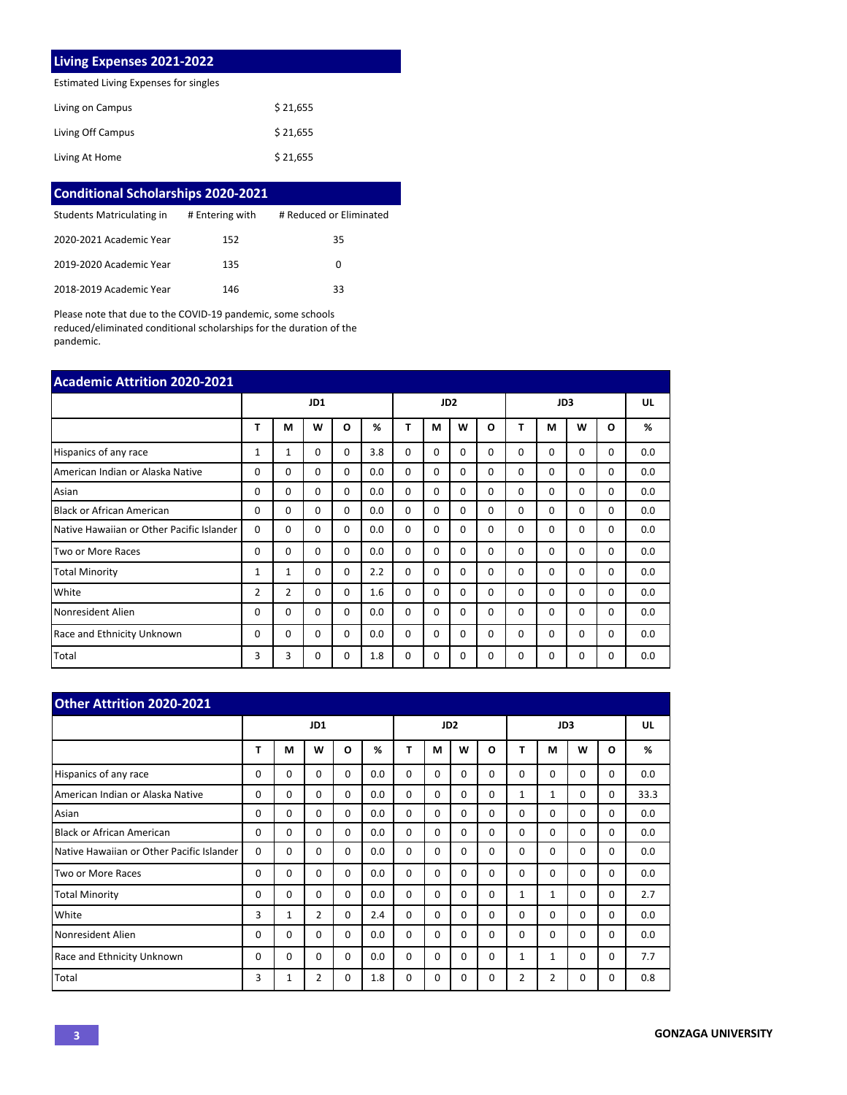### **Living Expenses 2021-2022**

Estimated Living Expenses for singles

| Living on Campus  | \$21,655 |
|-------------------|----------|
| Living Off Campus | \$21,655 |
| Living At Home    | \$21,655 |

| <b>Conditional Scholarships 2020-2021</b> |                 |                         |
|-------------------------------------------|-----------------|-------------------------|
| Students Matriculating in                 | # Entering with | # Reduced or Eliminated |
| 2020-2021 Academic Year                   | 152             | 35                      |
| 2019-2020 Academic Year                   | 135             | 0                       |
| 2018-2019 Academic Year                   | 146             | 33                      |

Please note that due to the COVID-19 pandemic, some schools reduced/eliminated conditional scholarships for the duration of the pandemic.

| <b>Academic Attrition 2020-2021</b>       |                |                |             |                 |     |          |          |          |     |          |          |          |          |     |
|-------------------------------------------|----------------|----------------|-------------|-----------------|-----|----------|----------|----------|-----|----------|----------|----------|----------|-----|
|                                           | JD1            |                |             | JD <sub>2</sub> |     |          |          |          | JD3 |          |          | UL       |          |     |
|                                           | т              | М              | W           | O               | %   | т        | М        | W        | O   | т        | М        | W        | O        | %   |
| Hispanics of any race                     | 1              | 1              | 0           | $\Omega$        | 3.8 | 0        | $\Omega$ | $\Omega$ | 0   | $\Omega$ | $\Omega$ | 0        | 0        | 0.0 |
| American Indian or Alaska Native          | $\Omega$       | $\mathbf 0$    | $\mathbf 0$ | $\Omega$        | 0.0 | 0        | $\Omega$ | $\Omega$ | 0   | $\Omega$ | 0        | 0        | 0        | 0.0 |
| Asian                                     | $\Omega$       | $\Omega$       | $\Omega$    | $\Omega$        | 0.0 | $\Omega$ | $\Omega$ | $\Omega$ | 0   | $\Omega$ | $\Omega$ | $\Omega$ | $\Omega$ | 0.0 |
| <b>Black or African American</b>          | $\Omega$       | $\Omega$       | $\Omega$    | $\Omega$        | 0.0 | 0        | $\Omega$ | $\Omega$ | 0   | $\Omega$ | $\Omega$ | 0        | 0        | 0.0 |
| Native Hawaiian or Other Pacific Islander | $\Omega$       | $\Omega$       | $\Omega$    | $\Omega$        | 0.0 | 0        | $\Omega$ | $\Omega$ | 0   | $\Omega$ | $\Omega$ | 0        | 0        | 0.0 |
| Two or More Races                         | 0              | $\Omega$       | $\Omega$    | $\Omega$        | 0.0 | $\Omega$ | $\Omega$ | $\Omega$ | 0   | $\Omega$ | $\Omega$ | 0        | 0        | 0.0 |
| <b>Total Minority</b>                     | 1              | 1              | 0           | $\Omega$        | 2.2 | 0        | $\Omega$ | $\Omega$ | 0   | $\Omega$ | $\Omega$ | 0        | 0        | 0.0 |
| White                                     | $\overline{2}$ | $\overline{2}$ | $\Omega$    | $\Omega$        | 1.6 | $\Omega$ | $\Omega$ | $\Omega$ | 0   | $\Omega$ | $\Omega$ | 0        | 0        | 0.0 |
| Nonresident Alien                         | $\Omega$       | $\Omega$       | $\Omega$    | $\Omega$        | 0.0 | $\Omega$ | $\Omega$ | $\Omega$ | 0   | $\Omega$ | $\Omega$ | 0        | 0        | 0.0 |
| Race and Ethnicity Unknown                | $\Omega$       | $\Omega$       | $\Omega$    | $\Omega$        | 0.0 | 0        | $\Omega$ | $\Omega$ | 0   | $\Omega$ | $\Omega$ | 0        | 0        | 0.0 |
| Total                                     | 3              | 3              | 0           | 0               | 1.8 | 0        | $\Omega$ | 0        | 0   | 0        | 0        | 0        | 0        | 0.0 |

| <b>Other Attrition 2020-2021</b>          |     |          |                |          |                 |          |          |             |          |             |                |          |          |      |
|-------------------------------------------|-----|----------|----------------|----------|-----------------|----------|----------|-------------|----------|-------------|----------------|----------|----------|------|
|                                           | JD1 |          |                |          | JD <sub>2</sub> |          |          |             | JD3      |             |                |          | UL       |      |
|                                           | Т   | М        | W              | O        | %               | T        | М        | W           | $\Omega$ | т           | М              | W        | $\Omega$ | %    |
| Hispanics of any race                     | 0   | 0        | $\Omega$       | $\Omega$ | 0.0             | $\Omega$ | $\Omega$ | $\Omega$    | $\Omega$ | $\Omega$    | $\Omega$       | $\Omega$ | 0        | 0.0  |
| American Indian or Alaska Native          | 0   | 0        | $\Omega$       | $\Omega$ | 0.0             | $\Omega$ | $\Omega$ | $\Omega$    | $\Omega$ | $\mathbf 1$ | $\mathbf{1}$   | $\Omega$ | 0        | 33.3 |
| Asian                                     | 0   | 0        | $\Omega$       | $\Omega$ | 0.0             | 0        | $\Omega$ | $\Omega$    | $\Omega$ | 0           | $\Omega$       | $\Omega$ | $\Omega$ | 0.0  |
| <b>Black or African American</b>          | 0   | 0        | $\Omega$       | $\Omega$ | 0.0             | $\Omega$ | $\Omega$ | 0           | $\Omega$ | 0           | $\Omega$       | $\Omega$ | 0        | 0.0  |
| Native Hawaiian or Other Pacific Islander | 0   | 0        | $\Omega$       | 0        | 0.0             | 0        | $\Omega$ | $\Omega$    | $\Omega$ | 0           | $\Omega$       | $\Omega$ | 0        | 0.0  |
| Two or More Races                         | 0   | 0        | $\Omega$       | 0        | 0.0             | $\Omega$ | $\Omega$ | $\Omega$    | $\Omega$ | 0           | $\Omega$       | $\Omega$ | 0        | 0.0  |
| <b>Total Minority</b>                     | 0   | $\Omega$ | $\Omega$       | $\Omega$ | 0.0             | $\Omega$ | $\Omega$ | $\Omega$    | $\Omega$ | $\mathbf 1$ | $\mathbf{1}$   | $\Omega$ | $\Omega$ | 2.7  |
| White                                     | 3   | 1        | $\overline{2}$ | 0        | 2.4             | $\Omega$ | $\Omega$ | $\mathbf 0$ | $\Omega$ | $\Omega$    | $\Omega$       | $\Omega$ | 0        | 0.0  |
| Nonresident Alien                         | 0   | $\Omega$ | $\Omega$       | $\Omega$ | 0.0             | $\Omega$ | $\Omega$ | $\Omega$    | $\Omega$ | 0           | $\Omega$       | $\Omega$ | 0        | 0.0  |
| <b>Race and Ethnicity Unknown</b>         | 0   | $\Omega$ | $\Omega$       | 0        | 0.0             | $\Omega$ | $\Omega$ | $\Omega$    | $\Omega$ | $\mathbf 1$ | $\mathbf{1}$   | $\Omega$ | $\Omega$ | 7.7  |
| Total                                     | 3   | 1        | $\overline{2}$ | 0        | 1.8             | 0        | $\Omega$ | 0           | $\Omega$ | 2           | $\overline{2}$ | 0        | 0        | 0.8  |